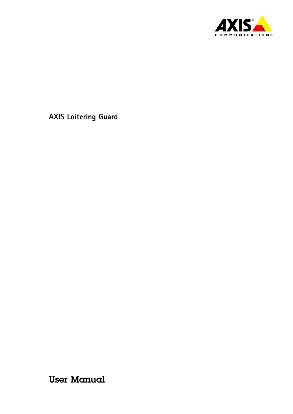

User Manual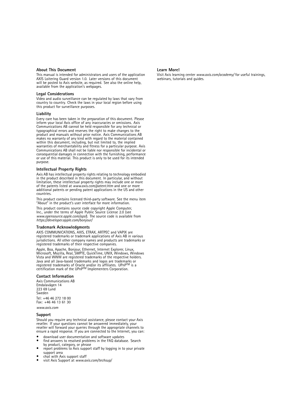#### **About This Document**

This manual is intended for administrators and users of the application AXIS Loitering Guard version 1.0. Later versions of this document will be posted to Axis website, as required. See also the online help, available from the application's webpages.

#### **Legal Considerations**

Video and audio surveillance can be regulated by laws that vary from country to country. Check the laws in your local region before using this product for surveillance purposes.

#### **Liability**

Every care has been taken in the preparation of this document. Please inform your local Axis office of any inaccuracies or omissions. Axis Communications AB cannot be held responsible for any technical or typographical errors and reserves the right to make changes to the product and manuals without prior notice. Axis Communications AB<br>makes no warranty of any kind with regard to the material contained<br>within this document, including, but not limited to, the implied<br>warranties of merchantab Communications AB shall not be liable nor responsible for incidental or consequential damages in connection with the furnishing, performance or use of this material. This product is only to be used for its intended purpose.

#### **Intellectual Property Rights**

Axis AB has intellectual property rights relating to technology embodied in the product described in this document. In particular, and without limitation, these intellectual property rights may include one or more of the patents listed at *www.axis.com/patent.htm* and one or more additional patents or pending patent applications in the US and other countries.

This product contains licensed third-party software. See the menu item "About" in the product's user interface for more information.

This product contains source code copyright Apple Computer, Inc., under the terms of Apple Public Source License 2.0 (see *www.opensource.apple.com/apsl*). The source code is available from *https://developer.apple.com/bonjour/*

#### **Trademark Acknowledgments**

AXIS COMMUNICATIONS, AXIS, ETRAX, ARTPEC and VAPIX are registered trademarks or trademark applications of Axis AB in various jurisdictions. All other company names and products are trademarks or registered trademarks of their respective companies.

Apple, Boa, Apache, Bonjour, Ethernet, Internet Explorer, Linux, Microsoft, Mozilla, Real, SMPTE, QuickTime, UNIX, Windows, Windows Vista and WWW are registered trademarks of the respective holders. Java and all Java-based trademarks and logos are trademarks or registered trademarks of Oracle and/or its affiliates. UPnP™ is a<br>certification mark of the UPnP™ Implementers Corporation.

#### **Contact Information**

Axis Communications AB Emdalavägen 14 223 69 Lund Sweden Tel: +46 46 272 18 00 Fax: +46 46 13 61 30

*www.axis.com*

#### **Support**

Should you require any technical assistance, please contact your Axis reseller. If your questions cannot be answered immediately, your reseller will forward your queries through the appropriate channels to ensure <sup>a</sup> rapid response. If you are connected to the Internet, you can:

- •download user documentation and software updates
- •find answers to resolved problems in the FAQ database. Search
- by product, category, or phrase report problems to Axis support staff by logging in to your private •support area
- •chat with Axis support staff
- •visit Axis Support at *www.axis.com/techsup/*

#### **Learn More!**

Visit Axis learning center *www.axis.com/academy/* for useful trainings, webinars, tutorials and guides.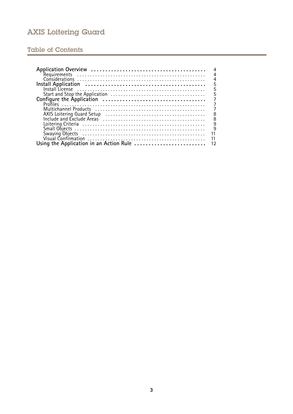### Table of Contents

| 4              |
|----------------|
| $\overline{4}$ |
| $\frac{4}{5}$  |
|                |
| 5              |
| $\overline{5}$ |
| 7              |
| $\overline{7}$ |
| $\overline{7}$ |
| 8              |
| 8              |
|                |
| $\frac{9}{9}$  |
| 11             |
| 11             |
|                |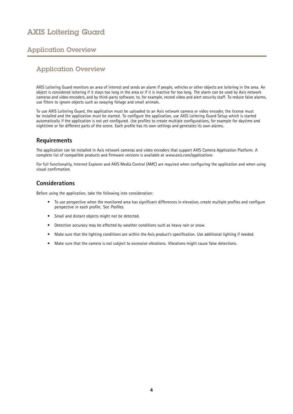### <span id="page-3-0"></span>Application Overview

### Application Overview

AXIS Loitering Guard monitors an area of interest and sends an alarm if people, vehicles or other objects are loitering in the area. An object is considered loitering if it stays too long in the area or if it is inactive for too long. The alarm can be used by Axis network cameras and video encoders, and by third-party software, to, for example, record video and alert security staff. To reduce false alarms, use filters to ignore objects such as swaying foliage and small animals.

To use AXIS Loitering Guard, the application must be uploaded to an Axis network camera or video encoder, the license must be installed and the application must be started. To configure the application, use AXIS Loitering Guard Setup which is started automatically if the application is not yet configured. Use profiles to create multiple configurations, for example for daytime and nighttime or for different parts of the scene. Each profile has its own settings and generates its own alarms.

### **Requirements**

The application can be installed in Axis network cameras and video encoders that support AXIS Camera Application Platform. A complete list of compatible products and firmware versions is available at *[www.axis.com/applications](http://www.axis.com/applications)*

For full functionality, Internet Explorer and AXIS Media Control (AMC) are required when configuring the application and when using visual confirmation.

### **Considerations**

Before using the application, take the following into consideration:

- To use perspective when the monitored area has significant differences in elevation, create multiple profiles and configure perspective in each profile. See *[Profiles](#page-6-0)*.
- •Small and distant objects might not be detected.
- •Detection accuracy may be affected by weather conditions such as heavy rain or snow.
- •Make sure that the lighting conditions are within the Axis product's specification. Use additional lighting if needed.
- Make sure that the camera is not subject to excessive vibrations. Vibrations might cause false detections.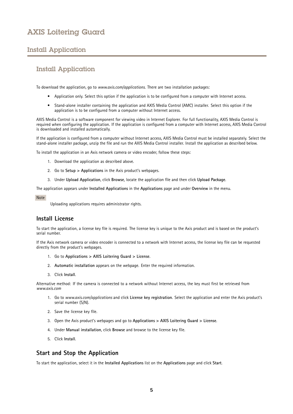### <span id="page-4-0"></span>Install Application

### Install Application

To download the application, go to *[www.axis.com/applications](http://www.axis.com/applications)*. There are two installation packages:

- Application only. Select this option if the application is to be configured from <sup>a</sup> computer with Internet access.
- Stand-alone installer containing the application and AXIS Media Control (AMC) installer. Select this option if the application is to be configured from <sup>a</sup> computer without Internet access.

AXIS Media Control is <sup>a</sup> software component for viewing video in Internet Explorer. For full functionality, AXIS Media Control is required when configuring the application. If the application is configured from <sup>a</sup> computer with Internet access, AXIS Media Control is downloaded and installed automatically.

If the application is configured from <sup>a</sup> computer without Internet access, AXIS Media Control must be installed separately. Select the stand-alone installer package, unzip the file and run the AXIS Media Control installer. Install the application as described below.

To install the application in an Axis network camera or video encoder, follow these steps:

- 1. Download the application as described above.
- 2. Go to **Setup <sup>&</sup>gt; Applications** in the Axis product's webpages.
- 3. Under **Upload Application**, click **Browse**, locate the application file and then click **Upload Package**.

The application appears under **Installed Applications** in the **Applications** page and under **Overview** in the menu.

#### Note

Uploading applications requires administrator rights.

### **Install License**

To start the application, <sup>a</sup> license key file is required. The license key is unique to the Axis product and is based on the product's serial number.

If the Axis network camera or video encoder is connected to <sup>a</sup> network with Internet access, the license key file can be requested directly from the product's webpages.

- 1. Go to **Applications <sup>&</sup>gt; AXIS Loitering Guard <sup>&</sup>gt; License**.
- 2. **Automatic installation** appears on the webpage. Enter the required information.
- 3. Click **Install**.

Alternative method: If the camera is connected to <sup>a</sup> network without Internet access, the key must first be retrieved from *[www.axis.com](http://www.axis.com)*

- 1. Go to *[www.axis.com/applications](http://www.axis.com/applications)* and click **License key registration**. Select the application and enter the Axis product's serial number (S/N).
- 2. Save the license key file.
- 3. Open the Axis product's webpages and go to **Applications <sup>&</sup>gt; AXIS Loitering Guard <sup>&</sup>gt; License**.
- 4. Under **Manual installation**, click **Browse** and browse to the license key file.
- 5. Click **Install**.

### **Start and Stop the Application**

To start the application, select it in the **Installed Applications** list on the **Applications** page and click **Start**.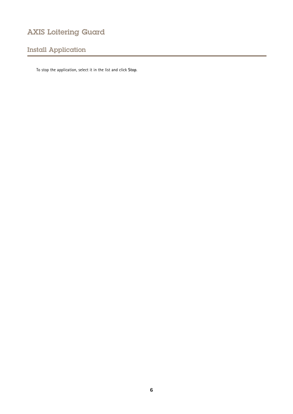# Install Application

To stop the application, select it in the list and click **Stop**.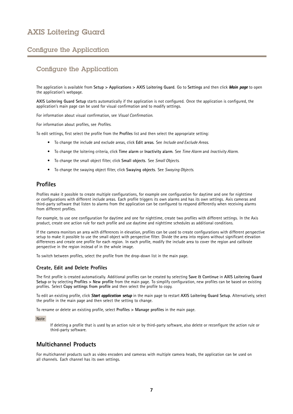### <span id="page-6-0"></span>Configure the Application

### Configure the Application

The application is available from **Setup <sup>&</sup>gt; Applications <sup>&</sup>gt; AXIS Loitering Guard**. Go to **Settings** and then click *Main page* to open the application's webpage.

**AXIS Loitering Guard Setup** starts automatically if the application is not configured. Once the application is configured, the application's main page can be used for visual confirmation and to modify settings.

For information about visual confirmation, see *Visual [Confirmation](#page-10-0)*.

For information about profiles, see *Profiles*.

To edit settings, first select the profile from the **Profiles** list and then select the appropriate setting:

- To change the include and exclude areas, click **Edit areas**. See *Include and [Exclude](#page-7-0) Areas*.
- To change the loitering criteria, click **Time alarm** or **Inactivity alarm**. See *Time [Alarm](#page-8-0)* and *[Inactivity](#page-8-0) Alarm*.
- To change the small object filter, click **Small objects**. See *Small [Objects](#page-8-0)*.
- To change the swaying object filter, click **Swaying objects**. See *[Swaying](#page-10-0) Objects*.

#### **Profiles**

Profiles make it possible to create multiple configurations, for example one configuration for daytime and one for nighttime or configurations with different include areas. Each profile triggers its own alarms and has its own settings. Axis cameras and third-party software that listen to alarms from the application can be configured to respond differently when receiving alarms from different profiles.

For example, to use one configuration for daytime and one for nighttime, create two profiles with different settings. In the Axis product, create one action rule for each profile and use daytime and nighttime schedules as additional conditions.

If the camera monitors an area with differences in elevation, profiles can be used to create configurations with different perspective setup to make it possible to use the small object with perspective filter. Divide the area into regions without significant elevation differences and create one profile for each region. In each profile, modify the include area to cover the region and calibrate perspective in the region instead of in the whole image.

To switch between profiles, select the profile from the drop-down list in the main page.

#### **Create, Edit and Delete Profiles**

The first profile is created automatically. Additional profiles can be created by selecting **Save & Continue** in **AXIS Loitering Guard Setup** or by selecting **Profiles <sup>&</sup>gt; New profile** from the main page. To simplify configuration, new profiles can be based on existing profiles. Select **Copy settings from profile** and then select the profile to copy.

To edit an existing profile, click *Start application application setup* in the main page to restart **AXIS Loitering Guard Setup**. Alternatively, select the profile in the main page and then select the setting to change.

To rename or delete an existing profile, select **Profiles <sup>&</sup>gt; Manage profiles** in the main page.

#### Note

If deleting <sup>a</sup> profile that is used by an action rule or by third-party software, also delete or reconfigure the action rule or third-party software.

### **Multichannel Products**

For multichannel products such as video encoders and cameras with multiple camera heads, the application can be used on all channels. Each channel has its own settings.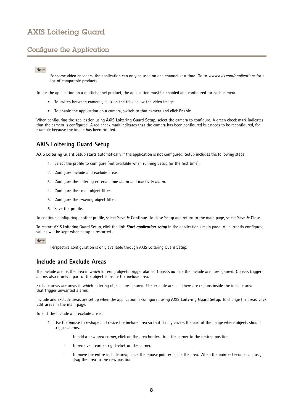### <span id="page-7-0"></span>Configure the Application

#### Note

For some video encoders, the application can only be used on one channel at <sup>a</sup> time. Go to *[www.axis.com/applications](http://www.axis.com/applications)* for <sup>a</sup> list of compatible products.

To use the application on <sup>a</sup> multichannel product, the application must be enabled and configured for each camera.

- To switch between cameras, click on the tabs below the video image.
- To enable the application on <sup>a</sup> camera, switch to that camera and click **Enable**.

When configuring the application using **AXIS Loitering Guard Setup**, select the camera to configure. A green check mark indicates that the camera is configured. A red check mark indicates that the camera has been configured but needs to be reconfigured, for example because the image has been rotated.

### **AXIS Loitering Guard Setup**

**AXIS Loitering Guard Setup** starts automatically if the application is not configured. Setup includes the following steps:

- 1. Select the profile to configure (not available when running Setup for the first time).
- 2. Configure include and exclude areas.
- 3. Configure the loitering criteria: time alarm and inactivity alarm.
- 4. Configure the small object filter.
- 5. Configure the swaying object filter.
- 6. Save the profile.

To continue configuring another profile, select **Save & Continue**. To close Setup and return to the main page, select **Save & Close**.

To restart AXIS Loitering Guard Setup, click the link *Start application setup* in the application's main page. All currently configured values will be kept when setup is restarted.

#### Note

Perspective configuration is only available through AXIS Loitering Guard Setup.

#### **Include and Exclude Areas**

The include area is the area in which loitering objects trigger alarms. Objects outside the include area are ignored. Objects trigger alarms also if only <sup>a</sup> part of the object is inside the include area.

Exclude areas are areas in which loitering objects are ignored. Use exclude areas if there are regions inside the include area that trigger unwanted alarms.

Include and exclude areas are set up when the application is configured using **AXIS Loitering Guard Setup**. To change the areas, click **Edit areas** in the main page.

To edit the include and exclude areas:

- 1. Use the mouse to reshape and resize the include area so that it only covers the part of the image where objects should trigger alarms.
	- To add <sup>a</sup> new area corner, click on the area border. Drag the corner to the desired position.
	- To remove <sup>a</sup> corner, right-click on the corner.
	- To move the entire include area, place the mouse pointer inside the area. When the pointer becomes <sup>a</sup> cross, drag the area to the new position.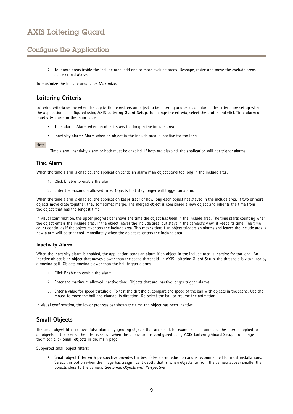### <span id="page-8-0"></span>Configure the Application

2. To ignore areas inside the include area, add one or more exclude areas. Reshape, resize and move the exclude areas as described above.

To maximize the include area, click **Maximize**.

### **Loitering Criteria**

Loitering criteria define when the application considers an object to be loitering and sends an alarm. The criteria are set up when the application is configured using **AXIS Loitering Guard Setup**. To change the criteria, select the profile and click **Time alarm** or **Inactivity alarm** in the main page.

- •Time alarm: Alarm when an object stays too long in the include area.
- Inactivity alarm: Alarm when an object in the include area is inactive for too long.

#### Note

Time alarm, inactivity alarm or both must be enabled. If both are disabled, the application will not trigger alarms.

#### **Time Alarm**

When the time alarm is enabled, the application sends an alarm if an object stays too long in the include area.

- 1. Click **Enable** to enable the alarm.
- 2. Enter the maximum allowed time. Objects that stay longer will trigger an alarm.

When the time alarm is enabled, the application keeps track of how long each object has stayed in the include area. If two or more objects move close together, they sometimes merge. The merged object is considered <sup>a</sup> new object and inherits the time from the object that has the longest time.

In visual confirmation, the upper progress bar shows the time the object has been in the include area. The time starts counting when the object enters the include area. If the object leaves the include area, but stays in the camera's view, it keeps its time. The time count continues if the object re-enters the include area. This means that if an object triggers an alarms and leaves the include area, <sup>a</sup> new alarm will be triggered immediately when the object re-enters the include area.

#### **Inactivity Alarm**

When the inactivity alarm is enabled, the application sends an alarm if an object in the include area is inactive for too long. An inactive object is an object that moves slower than the speed threshold. In **AXIS Loitering Guard Setup**, the threshold is visualized by <sup>a</sup> moving ball. Objects moving slower than the ball trigger alarms.

- 1. Click **Enable** to enable the alarm.
- 2. Enter the maximum allowed inactive time. Objects that are inactive longer trigger alarms.
- 3. Enter <sup>a</sup> value for speed threshold. To test the threshold, compare the speed of the ball with objects in the scene. Use the mouse to move the ball and change its direction. De-select the ball to resume the animation.

In visual confirmation, the lower progress bar shows the time the object has been inactive.

### **Small Objects**

The small object filter reduces false alarms by ignoring objects that are small, for example small animals. The filter is applied to all objects in the scene. The filter is set up when the application is configured using **AXIS Loitering Guard Setup**. To change the filter, click **Small objects** in the main page.

Supported small object filters:

• **Small object filter with perspective** provides the best false alarm reduction and is recommended for most installations. Select this option when the image has <sup>a</sup> significant depth, that is, when objects far from the camera appear smaller than objects close to the camera. See *Small Objects with [Perspective](#page-9-0)*.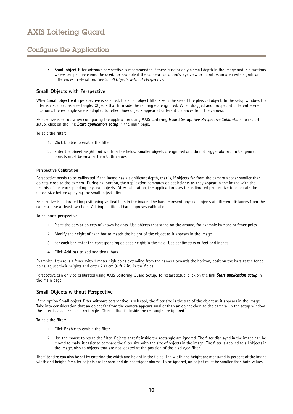### <span id="page-9-0"></span>Configure the Application

• **Small object filter without perspective** is recommended if there is no or only <sup>a</sup> small depth in the image and in situations where perspective cannot be used, for example if the camera has <sup>a</sup> bird's-eye view or monitors an area with significant differences in elevation. See *Small Objects without Perspective*.

#### **Small Objects with Perspective**

When **Small object with perspective** is selected, the small object filter size is the size of the physical object. In the setup window, the filter is visualized as <sup>a</sup> rectangle. Objects that fit inside the rectangle are ignored. When dragged and dropped at different scene locations, the rectangle size is adapted to reflect how objects appear at different distances from the camera.

Perspective is set up when configuring the application using **AXIS Loitering Guard Setup**. See *Perspective Calibration*. To restart setup, click on the link **Start application setup** in the main page.

To edit the filter:

- 1. Click **Enable** to enable the filter.
- 2. Enter the object height and width in the fields. Smaller objects are ignored and do not trigger alarms. To be ignored, objects must be smaller than **both** values.

#### **Perspective Calibration**

Perspective needs to be calibrated if the image has <sup>a</sup> significant depth, that is, if objects far from the camera appear smaller than objects close to the camera. During calibration, the application compares object heights as they appear in the image with the heights of the corresponding physical objects. After calibration, the application uses the calibrated perspective to calculate the object size before applying the small object filter.

Perspective is calibrated by positioning vertical bars in the image. The bars represent physical objects at different distances from the camera. Use at least two bars. Adding additional bars improves calibration.

To calibrate perspective:

- 1. Place the bars at objects of known heights. Use objects that stand on the ground, for example humans or fence poles.
- 2. Modify the height of each bar to match the height of the object as it appears in the image.
- 3. For each bar, enter the corresponding object's height in the field. Use centimeters or feet and inches.
- 4. Click **Add bar** to add additional bars.

Example: If there is <sup>a</sup> fence with 2 meter high poles extending from the camera towards the horizon, position the bars at the fence poles, adjust their heights and enter <sup>200</sup> cm (6 ft <sup>7</sup> in) in the fields.

Perspective can only be calibrated using **AXIS Loitering Guard Setup**. To restart setup, click on the link *Start application application setup* in the main page.

#### **Small Objects without Perspective**

If the option **Small object filter without perspective** is selected, the filter size is the size of the object as it appears in the image. Take into consideration that an object far from the camera appears smaller than an object close to the camera. In the setup window, the filter is visualized as <sup>a</sup> rectangle. Objects that fit inside the rectangle are ignored.

To edit the filter:

- 1. Click **Enable** to enable the filter.
- 2. Use the mouse to resize the filter. Objects that fit inside the rectangle are ignored. The filter displayed in the image can be moved to make it easier to compare the filter size with the size of objects in the image. The filter is applied to all objects in the image, also to objects that are not located at the position of the displayed filter.

The filter size can also be set by entering the width and height in the fields. The width and height are measured in percent of the image width and height. Smaller objects are ignored and do not trigger alarms. To be ignored, an object must be smaller than both values.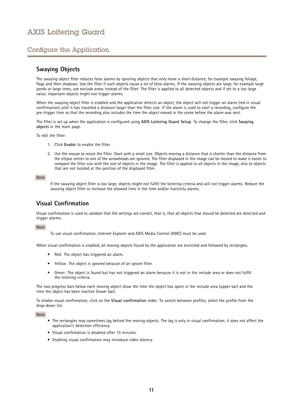### <span id="page-10-0"></span>Configure the Application

### **Swaying Objects**

The swaying object filter reduces false alarms by ignoring objects that only move <sup>a</sup> short distance, for example swaying foliage, flags and their shadows. Use the filter if such objects cause a lot of false alarms. If the swaying objects are large, for example large ponds or large trees, use exclude areas instead of the filter. The filter is applied to all detected objects and if set to <sup>a</sup> too large value, important objects might not trigger alarms.

When the swaying object filter is enabled and the application detects an object, the object will not trigger an alarm (red in visual confirmation) until it has travelled <sup>a</sup> distance larger than the filter size. If the alarm is used to start <sup>a</sup> recording, configure the pre-trigger time so that the recording also includes the time the object moved in the scene before the alarm was sent.

The filter is set up when the application is configured using **AXIS Loitering Guard Setup**. To change the filter, click **Swaying objects** in the main page.

To edit the filter:

- 1. Click **Enable** to enable the filter.
- 2. Use the mouse to resize the filter. Start with <sup>a</sup> small size. Objects moving <sup>a</sup> distance that is shorter than the distance from the ellipse center to one of the arrowheads are ignored. The filter displayed in the image can be moved to make it easier to compare the filter size with the size of objects in the image. The filter is applied to all objects in the image, also to objects that are not located at the position of the displayed filter.

#### Note

If the swaying object filter is too large, objects might not fulfill the loitering criteria and will not trigger alarms. Reduce the swaying object filter or increase the allowed time in the time and/or inactivity alarms.

### **Visual Confirmation**

Visual confirmation is used to validate that the settings are correct, that is, that all objects that should be detected are detected and trigger alarms.

Note

To use visual confirmation, Internet Explorer and AXIS Media Control (AMC) must be used.

When visual confirmation is enabled, all moving objects found by the application are encircled and followed by rectangles.

- Red: The object has triggered an alarm.
- •Yellow: The object is ignored because of an ignore filter.
- • Green: The object is found but has not triggered an alarm because it is not in the include area or does not fulfill the loitering criteria.

The two progress bars below each moving object show the time the object has spent in the include area (upper bar) and the time the object has been inactive (lower bar).

To enable visual confirmation, click on the **Visual confirmation** slider. To switch between profiles, select the profile from the drop-down list.

Note

- The rectangles may sometimes lag behind the moving objects. The lag is only in visual confirmation; it does not affect the application's detection efficiency.
- Visual confirmation is disabled after 15 minutes.
- Enabling visual confirmation may introduce video latency.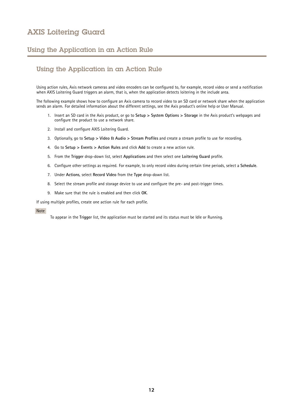### <span id="page-11-0"></span>Using the Application in an Action Rule

### Using the Application in an Action Rule

Using action rules, Axis network cameras and video encoders can be configured to, for example, record video or send <sup>a</sup> notification when AXIS Loitering Guard triggers an alarm, that is, when the application detects loitering in the include area.

The following example shows how to configure an Axis camera to record video to an SD card or network share when the application sends an alarm. For detailed information about the different settings, see the Axis product's online help or User Manual.

- 1. Insert an SD card in the Axis product, or go to **Setup <sup>&</sup>gt; System Options <sup>&</sup>gt; Storage** in the Axis product's webpages and configure the product to use <sup>a</sup> network share.
- 2. Install and configure AXIS Loitering Guard.
- 3. Optionally, go to **Setup <sup>&</sup>gt; Video & Audio <sup>&</sup>gt; Stream Profiles** and create <sup>a</sup> stream profile to use for recording.
- 4. Go to **Setup <sup>&</sup>gt; Events <sup>&</sup>gt; Action Rules** and click **Add** to create <sup>a</sup> new action rule.
- 5. From the **Trigger** drop-down list, select **Applications** and then select one **Loitering Guard** profile.
- 6. Configure other settings as required. For example, to only record video during certain time periods, select <sup>a</sup> **Schedule**.
- 7. Under **Actions**, select **Record Video** from the **Type** drop-down list.
- 8. Select the stream profile and storage device to use and configure the pre- and post-trigger times.
- 9. Make sure that the rule is enabled and then click **OK**.

If using multiple profiles, create one action rule for each profile.

#### Note

To appear in the **Trigger** list, the application must be started and its status must be Idle or Running.